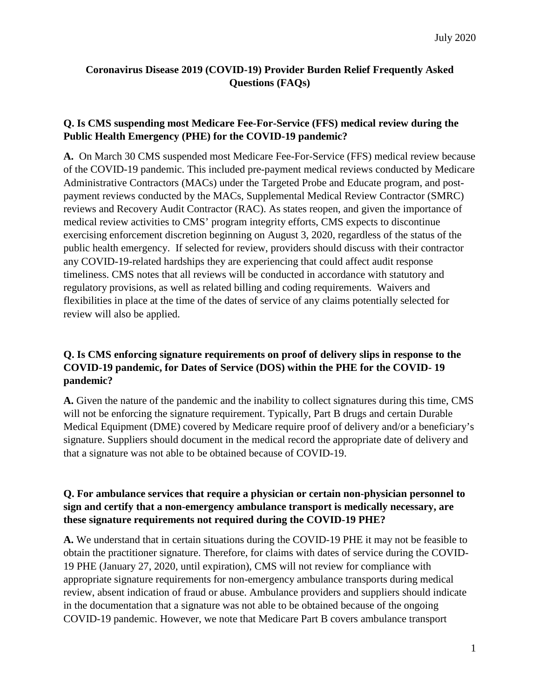# **Coronavirus Disease 2019 (COVID-19) Provider Burden Relief Frequently Asked Questions (FAQs)**

## **Q. Is CMS suspending most Medicare Fee-For-Service (FFS) medical review during the Public Health Emergency (PHE) for the COVID-19 pandemic?**

**A.** On March 30 CMS suspended most Medicare Fee-For-Service (FFS) medical review because of the COVID-19 pandemic. This included pre-payment medical reviews conducted by Medicare Administrative Contractors (MACs) under the Targeted Probe and Educate program, and postpayment reviews conducted by the MACs, Supplemental Medical Review Contractor (SMRC) reviews and Recovery Audit Contractor (RAC). As states reopen, and given the importance of medical review activities to CMS' program integrity efforts, CMS expects to discontinue exercising enforcement discretion beginning on August 3, 2020, regardless of the status of the public health emergency. If selected for review, providers should discuss with their contractor any COVID-19-related hardships they are experiencing that could affect audit response timeliness. CMS notes that all reviews will be conducted in accordance with statutory and regulatory provisions, as well as related billing and coding requirements. Waivers and flexibilities in place at the time of the dates of service of any claims potentially selected for review will also be applied.

## **Q. Is CMS enforcing signature requirements on proof of delivery slips in response to the COVID-19 pandemic, for Dates of Service (DOS) within the PHE for the COVID- 19 pandemic?**

**A.** Given the nature of the pandemic and the inability to collect signatures during this time, CMS will not be enforcing the signature requirement. Typically, Part B drugs and certain Durable Medical Equipment (DME) covered by Medicare require proof of delivery and/or a beneficiary's signature. Suppliers should document in the medical record the appropriate date of delivery and that a signature was not able to be obtained because of COVID-19.

## **Q. For ambulance services that require a physician or certain non-physician personnel to sign and certify that a non-emergency ambulance transport is medically necessary, are these signature requirements not required during the COVID-19 PHE?**

**A.** We understand that in certain situations during the COVID-19 PHE it may not be feasible to obtain the practitioner signature. Therefore, for claims with dates of service during the COVID-19 PHE (January 27, 2020, until expiration), CMS will not review for compliance with appropriate signature requirements for non-emergency ambulance transports during medical review, absent indication of fraud or abuse. Ambulance providers and suppliers should indicate in the documentation that a signature was not able to be obtained because of the ongoing COVID-19 pandemic. However, we note that Medicare Part B covers ambulance transport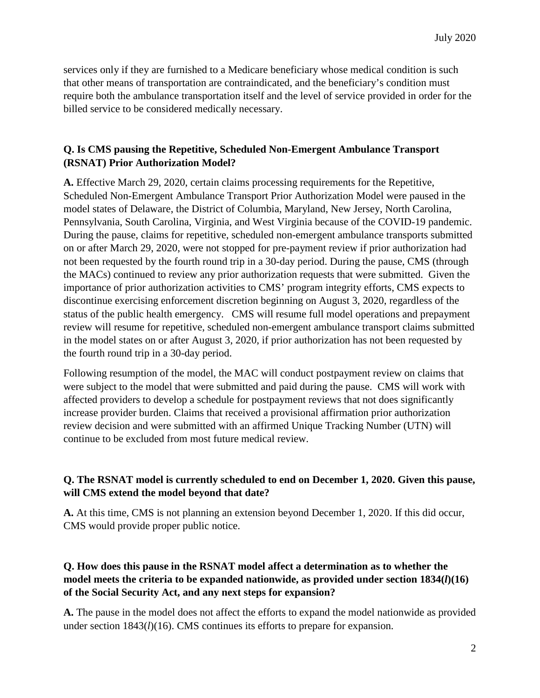services only if they are furnished to a Medicare beneficiary whose medical condition is such that other means of transportation are contraindicated, and the beneficiary's condition must require both the ambulance transportation itself and the level of service provided in order for the billed service to be considered medically necessary.

#### **Q. Is CMS pausing the Repetitive, Scheduled Non-Emergent Ambulance Transport (RSNAT) Prior Authorization Model?**

**A.** Effective March 29, 2020, certain claims processing requirements for the Repetitive, Scheduled Non-Emergent Ambulance Transport Prior Authorization Model were paused in the model states of Delaware, the District of Columbia, Maryland, New Jersey, North Carolina, Pennsylvania, South Carolina, Virginia, and West Virginia because of the COVID-19 pandemic. During the pause, claims for repetitive, scheduled non-emergent ambulance transports submitted on or after March 29, 2020, were not stopped for pre-payment review if prior authorization had not been requested by the fourth round trip in a 30-day period. During the pause, CMS (through the MACs) continued to review any prior authorization requests that were submitted. Given the importance of prior authorization activities to CMS' program integrity efforts, CMS expects to discontinue exercising enforcement discretion beginning on August 3, 2020, regardless of the status of the public health emergency. CMS will resume full model operations and prepayment review will resume for repetitive, scheduled non-emergent ambulance transport claims submitted in the model states on or after August 3, 2020, if prior authorization has not been requested by the fourth round trip in a 30-day period.

Following resumption of the model, the MAC will conduct postpayment review on claims that were subject to the model that were submitted and paid during the pause. CMS will work with affected providers to develop a schedule for postpayment reviews that not does significantly increase provider burden. Claims that received a provisional affirmation prior authorization review decision and were submitted with an affirmed Unique Tracking Number (UTN) will continue to be excluded from most future medical review.

### **Q. The RSNAT model is currently scheduled to end on December 1, 2020. Given this pause, will CMS extend the model beyond that date?**

**A.** At this time, CMS is not planning an extension beyond December 1, 2020. If this did occur, CMS would provide proper public notice.

### **Q. How does this pause in the RSNAT model affect a determination as to whether the model meets the criteria to be expanded nationwide, as provided under section 1834(***l***)(16) of the Social Security Act, and any next steps for expansion?**

**A.** The pause in the model does not affect the efforts to expand the model nationwide as provided under section 1843(*l*)(16). CMS continues its efforts to prepare for expansion.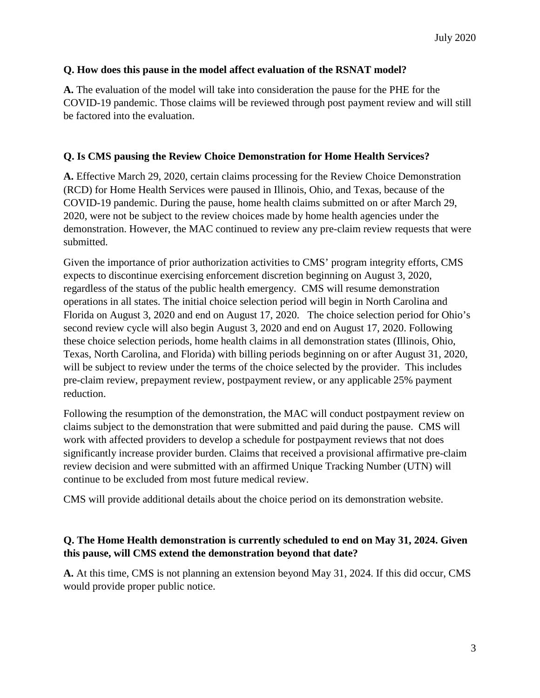#### **Q. How does this pause in the model affect evaluation of the RSNAT model?**

**A.** The evaluation of the model will take into consideration the pause for the PHE for the COVID-19 pandemic. Those claims will be reviewed through post payment review and will still be factored into the evaluation.

#### **Q. Is CMS pausing the Review Choice Demonstration for Home Health Services?**

**A.** Effective March 29, 2020, certain claims processing for the Review Choice Demonstration (RCD) for Home Health Services were paused in Illinois, Ohio, and Texas, because of the COVID-19 pandemic. During the pause, home health claims submitted on or after March 29, 2020, were not be subject to the review choices made by home health agencies under the demonstration. However, the MAC continued to review any pre-claim review requests that were submitted.

Given the importance of prior authorization activities to CMS' program integrity efforts, CMS expects to discontinue exercising enforcement discretion beginning on August 3, 2020, regardless of the status of the public health emergency. CMS will resume demonstration operations in all states. The initial choice selection period will begin in North Carolina and Florida on August 3, 2020 and end on August 17, 2020. The choice selection period for Ohio's second review cycle will also begin August 3, 2020 and end on August 17, 2020. Following these choice selection periods, home health claims in all demonstration states (Illinois, Ohio, Texas, North Carolina, and Florida) with billing periods beginning on or after August 31, 2020, will be subject to review under the terms of the choice selected by the provider. This includes pre-claim review, prepayment review, postpayment review, or any applicable 25% payment reduction.

Following the resumption of the demonstration, the MAC will conduct postpayment review on claims subject to the demonstration that were submitted and paid during the pause. CMS will work with affected providers to develop a schedule for postpayment reviews that not does significantly increase provider burden. Claims that received a provisional affirmative pre-claim review decision and were submitted with an affirmed Unique Tracking Number (UTN) will continue to be excluded from most future medical review.

CMS will provide additional details about the choice period on its demonstration website.

### **Q. The Home Health demonstration is currently scheduled to end on May 31, 2024. Given this pause, will CMS extend the demonstration beyond that date?**

**A.** At this time, CMS is not planning an extension beyond May 31, 2024. If this did occur, CMS would provide proper public notice.